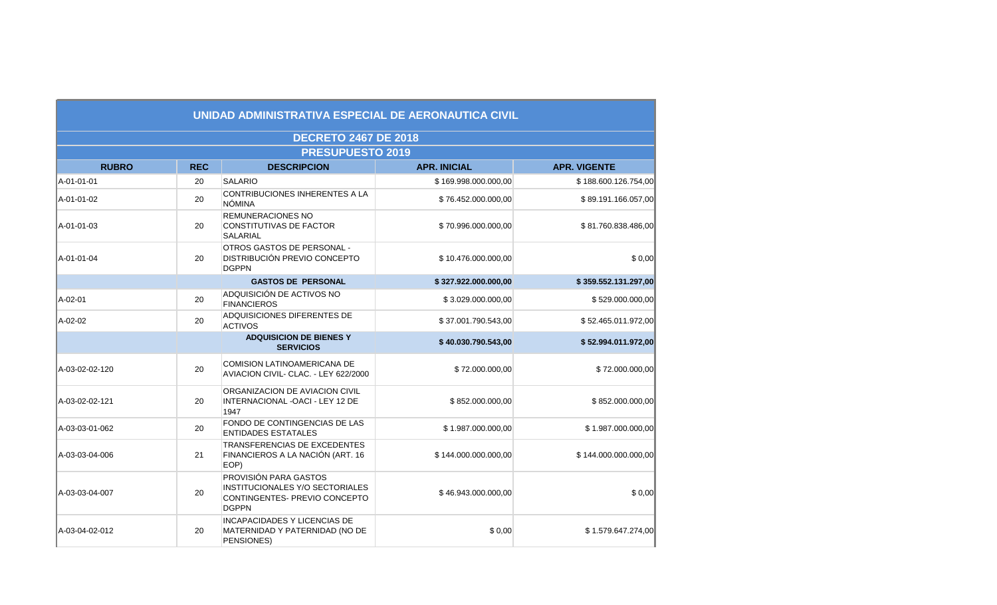|                |            | <b>DECRETO 2467 DE 2018</b>                                                                                      |                      |                      |
|----------------|------------|------------------------------------------------------------------------------------------------------------------|----------------------|----------------------|
|                |            | <b>PRESUPUESTO 2019</b>                                                                                          |                      |                      |
| <b>RUBRO</b>   | <b>REC</b> | <b>DESCRIPCION</b>                                                                                               | <b>APR. INICIAL</b>  | <b>APR. VIGENTE</b>  |
| A-01-01-01     | 20         | <b>SALARIO</b>                                                                                                   | \$169.998.000.000,00 | \$188.600.126.754,00 |
| A-01-01-02     | 20         | CONTRIBUCIONES INHERENTES A LA<br><b>NÓMINA</b>                                                                  | \$76.452.000.000,00  | \$89.191.166.057,00  |
| A-01-01-03     | 20         | <b>REMUNERACIONES NO</b><br><b>CONSTITUTIVAS DE FACTOR</b><br><b>SALARIAL</b>                                    | \$70.996.000.000,00  | \$81.760.838.486,00  |
| A-01-01-04     | 20         | OTROS GASTOS DE PERSONAL -<br><b>DISTRIBUCIÓN PREVIO CONCEPTO</b><br><b>DGPPN</b>                                | \$10.476.000.000,00  | \$0,00               |
|                |            | <b>GASTOS DE PERSONAL</b>                                                                                        | \$327.922.000.000,00 | \$359.552.131.297,00 |
| A-02-01        | 20         | ADQUISICIÓN DE ACTIVOS NO<br><b>FINANCIEROS</b>                                                                  | \$3.029.000.000,00   | \$529.000.000,00     |
| A-02-02        | 20         | ADQUISICIONES DIFERENTES DE<br><b>ACTIVOS</b>                                                                    | \$37.001.790.543,00  | \$52.465.011.972,00  |
|                |            | <b>ADQUISICION DE BIENES Y</b><br><b>SERVICIOS</b>                                                               | \$40.030.790.543,00  | \$52.994.011.972,00  |
| A-03-02-02-120 | 20         | <b>COMISION LATINOAMERICANA DE</b><br>AVIACION CIVIL- CLAC. - LEY 622/2000                                       | \$72.000.000,00      | \$72.000.000,00      |
| A-03-02-02-121 | 20         | ORGANIZACION DE AVIACION CIVIL<br>INTERNACIONAL - OACI - LEY 12 DE<br>1947                                       | \$852.000.000,00     | \$852.000.000,00     |
| A-03-03-01-062 | 20         | FONDO DE CONTINGENCIAS DE LAS<br><b>ENTIDADES ESTATALES</b>                                                      | \$1.987.000.000,00   | \$1.987.000.000,00   |
| A-03-03-04-006 | 21         | TRANSFERENCIAS DE EXCEDENTES<br>FINANCIEROS A LA NACIÓN (ART. 16<br>EOP)                                         | \$144.000.000.000,00 | \$144.000.000.000,00 |
| A-03-03-04-007 | 20         | PROVISIÓN PARA GASTOS<br><b>INSTITUCIONALES Y/O SECTORIALES</b><br>CONTINGENTES- PREVIO CONCEPTO<br><b>DGPPN</b> | \$46.943.000.000,00  | \$0,00               |
| A-03-04-02-012 | 20         | <b>INCAPACIDADES Y LICENCIAS DE</b><br>MATERNIDAD Y PATERNIDAD (NO DE<br>PENSIONES)                              | \$0,00               | \$1.579.647.274,00   |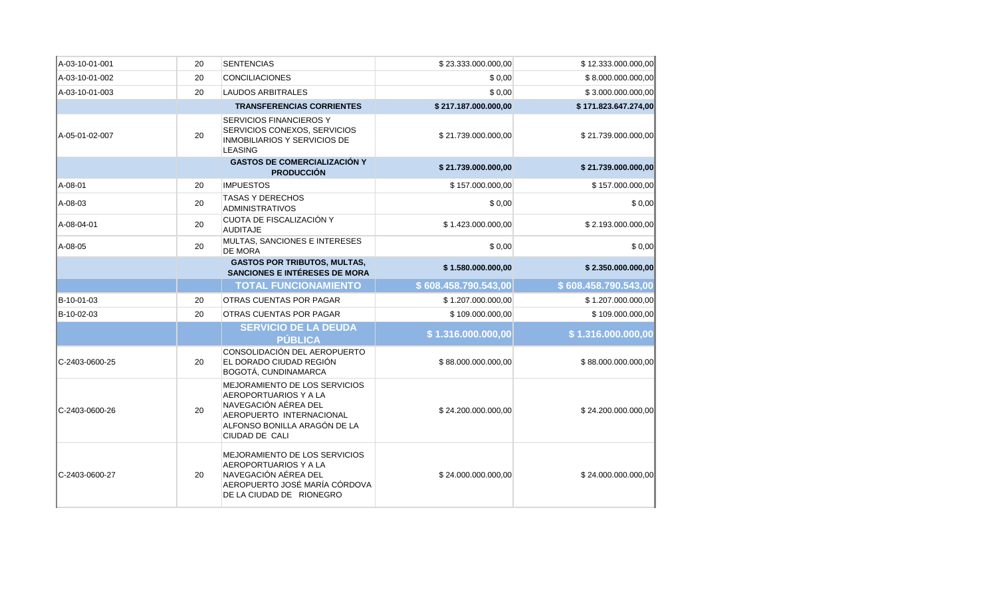| A-03-10-01-001 | 20 | <b>SENTENCIAS</b>                                                                                                                                            | \$23.333.000.000,00  | \$12.333.000.000,00  |
|----------------|----|--------------------------------------------------------------------------------------------------------------------------------------------------------------|----------------------|----------------------|
| A-03-10-01-002 | 20 | <b>CONCILIACIONES</b>                                                                                                                                        | \$0,00               | \$8.000.000.000,00   |
| A-03-10-01-003 | 20 | <b>LAUDOS ARBITRALES</b>                                                                                                                                     | \$0,00               | \$3.000.000.000,00   |
|                |    | <b>TRANSFERENCIAS CORRIENTES</b>                                                                                                                             | \$217.187.000.000,00 | \$171.823.647.274,00 |
| A-05-01-02-007 | 20 | SERVICIOS FINANCIEROS Y<br>SERVICIOS CONEXOS, SERVICIOS<br>INMOBILIARIOS Y SERVICIOS DE<br><b>LEASING</b>                                                    | \$21.739.000.000,00  | \$21.739.000.000,00  |
|                |    | <b>GASTOS DE COMERCIALIZACIÓN Y</b><br><b>PRODUCCIÓN</b>                                                                                                     | \$21.739.000.000,00  | \$21.739.000.000,00  |
| A-08-01        | 20 | <b>IMPUESTOS</b>                                                                                                                                             | \$157.000.000,00     | \$157.000.000,00     |
| A-08-03        | 20 | <b>TASAS Y DERECHOS</b><br><b>ADMINISTRATIVOS</b>                                                                                                            | \$0,00               | \$0,00               |
| A-08-04-01     | 20 | CUOTA DE FISCALIZACIÓN Y<br><b>AUDITAJE</b>                                                                                                                  | \$1.423.000.000,00   | \$2.193.000.000,00   |
| A-08-05        | 20 | MULTAS, SANCIONES E INTERESES<br><b>DE MORA</b>                                                                                                              | \$0,00               | \$0,00               |
|                |    | <b>GASTOS POR TRIBUTOS, MULTAS,</b><br><b>SANCIONES E INTÉRESES DE MORA</b>                                                                                  | \$1.580.000.000,00   | \$2.350.000.000,00   |
|                |    | <b>TOTAL FUNCIONAMIENTO</b>                                                                                                                                  | \$608.458.790.543,00 | \$608.458.790.543,00 |
| B-10-01-03     | 20 | OTRAS CUENTAS POR PAGAR                                                                                                                                      | \$1.207.000.000,00   | \$1.207.000.000,00   |
| B-10-02-03     | 20 | OTRAS CUENTAS POR PAGAR                                                                                                                                      | \$109.000.000,00     | \$109.000.000,00     |
|                |    | <b>SERVICIO DE LA DEUDA</b><br><b>PÚBLICA</b>                                                                                                                | \$1.316.000.000,00   | \$1.316.000.000,00   |
| C-2403-0600-25 | 20 | CONSOLIDACIÓN DEL AEROPUERTO<br>EL DORADO CIUDAD REGIÓN<br>BOGOTÁ, CUNDINAMARCA                                                                              | \$88.000.000.000,00  | \$88.000.000.000,00  |
| C-2403-0600-26 | 20 | MEJORAMIENTO DE LOS SERVICIOS<br>AEROPORTUARIOS Y A LA<br>NAVEGACIÓN AÉREA DEL<br>AEROPUERTO INTERNACIONAL<br>ALFONSO BONILLA ARAGÓN DE LA<br>CIUDAD DE CALI | \$24.200.000.000,00  | \$24.200.000.000,00  |
| C-2403-0600-27 | 20 | MEJORAMIENTO DE LOS SERVICIOS<br>AEROPORTUARIOS Y A LA<br>NAVEGACIÓN AÉREA DEL<br>AEROPUERTO JOSÉ MARÍA CÓRDOVA<br>DE LA CIUDAD DE RIONEGRO                  | \$24.000.000.000,00  | \$24.000.000.000,00  |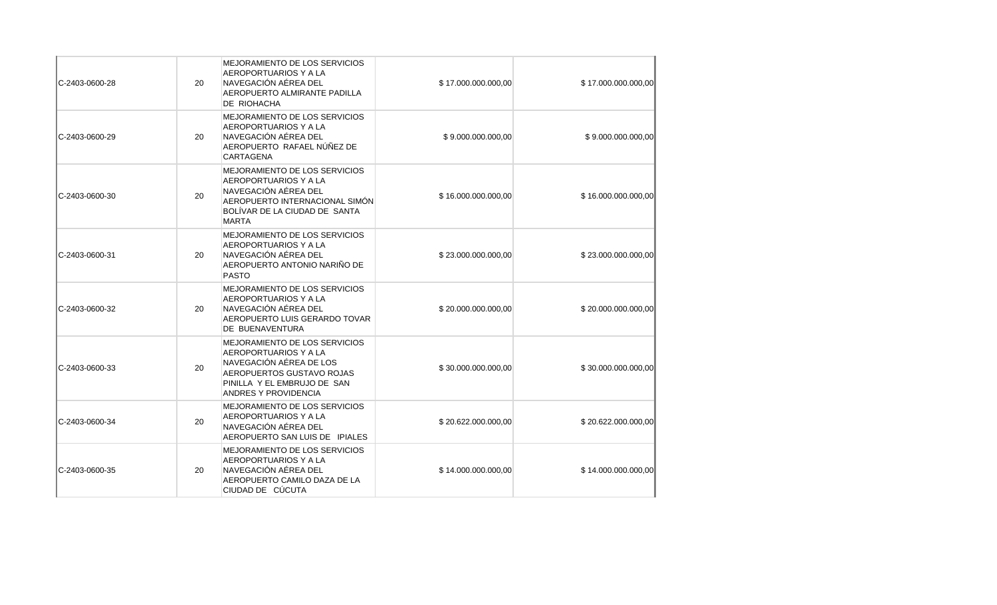| C-2403-0600-28 | 20 | MEJORAMIENTO DE LOS SERVICIOS<br>AEROPORTUARIOS Y A LA<br>NAVEGACIÓN AÉREA DEL<br>AEROPUERTO ALMIRANTE PADILLA<br>DE RIOHACHA                                                | \$17.000.000.000,00 | \$17.000.000.000,00 |
|----------------|----|------------------------------------------------------------------------------------------------------------------------------------------------------------------------------|---------------------|---------------------|
| C-2403-0600-29 | 20 | MEJORAMIENTO DE LOS SERVICIOS<br>AEROPORTUARIOS Y A LA<br>NAVEGACIÓN AÉREA DEL<br>AEROPUERTO RAFAEL NÚÑEZ DE<br>CARTAGENA                                                    | \$9.000.000.000,00  | \$9.000.000.000,00  |
| C-2403-0600-30 | 20 | MEJORAMIENTO DE LOS SERVICIOS<br>AEROPORTUARIOS Y A LA<br>NAVEGACIÓN AÉREA DEL<br>AEROPUERTO INTERNACIONAL SIMÓN<br>BOLÍVAR DE LA CIUDAD DE SANTA<br><b>MARTA</b>            | \$16.000.000.000,00 | \$16.000.000.000,00 |
| C-2403-0600-31 | 20 | MEJORAMIENTO DE LOS SERVICIOS<br>AEROPORTUARIOS Y A LA<br>NAVEGACIÓN AÉREA DEL<br>AEROPUERTO ANTONIO NARIÑO DE<br><b>PASTO</b>                                               | \$23.000.000.000,00 | \$23.000.000.000,00 |
| C-2403-0600-32 | 20 | MEJORAMIENTO DE LOS SERVICIOS<br>AEROPORTUARIOS Y A LA<br>NAVEGACIÓN AÉREA DEL<br>AEROPUERTO LUIS GERARDO TOVAR<br>DE BUENAVENTURA                                           | \$20.000.000.000,00 | \$20.000.000.000,00 |
| C-2403-0600-33 | 20 | <b>MEJORAMIENTO DE LOS SERVICIOS</b><br>AEROPORTUARIOS Y A LA<br>NAVEGACIÓN AÉREA DE LOS<br>AEROPUERTOS GUSTAVO ROJAS<br>PINILLA Y EL EMBRUJO DE SAN<br>ANDRES Y PROVIDENCIA | \$30.000.000.000,00 | \$30.000.000.000,00 |
| C-2403-0600-34 | 20 | MEJORAMIENTO DE LOS SERVICIOS<br>AEROPORTUARIOS Y A LA<br>NAVEGACIÓN AÉREA DEL<br>AEROPUERTO SAN LUIS DE IPIALES                                                             | \$20.622.000.000,00 | \$20.622.000.000,00 |
| C-2403-0600-35 | 20 | MEJORAMIENTO DE LOS SERVICIOS<br>AEROPORTUARIOS Y A LA<br>NAVEGACIÓN AÉREA DEL<br>AEROPUERTO CAMILO DAZA DE LA<br>CIUDAD DE CÚCUTA                                           | \$14.000.000.000,00 | \$14.000.000.000,00 |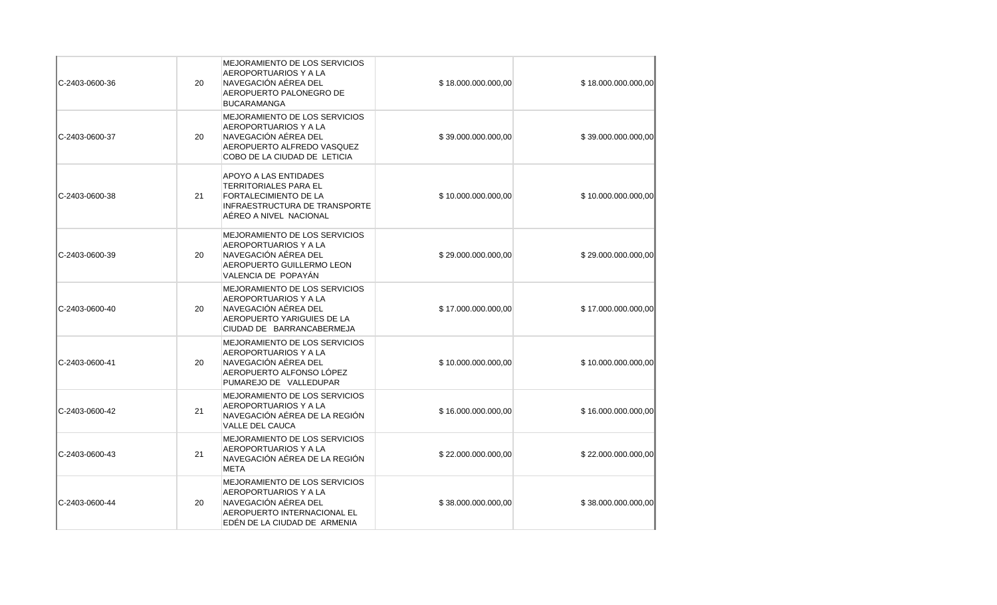| C-2403-0600-36  | 20 | MEJORAMIENTO DE LOS SERVICIOS<br>AEROPORTUARIOS Y A LA<br>NAVEGACIÓN AÉREA DEL<br>AEROPUERTO PALONEGRO DE<br><b>BUCARAMANGA</b>                         | \$18.000.000.000,00 | \$18.000.000.000,00 |
|-----------------|----|---------------------------------------------------------------------------------------------------------------------------------------------------------|---------------------|---------------------|
| C-2403-0600-37  | 20 | MEJORAMIENTO DE LOS SERVICIOS<br>AEROPORTUARIOS Y A LA<br>NAVEGACIÓN AÉREA DEL<br>AEROPUERTO ALFREDO VASQUEZ<br>COBO DE LA CIUDAD DE LETICIA            | \$39.000.000.000,00 | \$39.000.000.000,00 |
| IC-2403-0600-38 | 21 | <b>APOYO A LAS ENTIDADES</b><br>TERRITORIALES PARA EL<br><b>FORTALECIMIENTO DE LA</b><br><b>INFRAESTRUCTURA DE TRANSPORTE</b><br>AÉREO A NIVEL NACIONAL | \$10.000.000.000,00 | \$10.000.000.000,00 |
| C-2403-0600-39  | 20 | MEJORAMIENTO DE LOS SERVICIOS<br>AEROPORTUARIOS Y A LA<br>NAVEGACIÓN AÉREA DEL<br>AEROPUERTO GUILLERMO LEON<br>VALENCIA DE POPAYÁN                      | \$29.000.000.000,00 | \$29.000.000.000,00 |
| C-2403-0600-40  | 20 | MEJORAMIENTO DE LOS SERVICIOS<br>AEROPORTUARIOS Y A LA<br>NAVEGACIÓN AÉREA DEL<br>AEROPUERTO YARIGUIES DE LA<br>CIUDAD DE BARRANCABERMEJA               | \$17.000.000.000,00 | \$17.000.000.000,00 |
| C-2403-0600-41  | 20 | MEJORAMIENTO DE LOS SERVICIOS<br>AEROPORTUARIOS Y A LA<br>NAVEGACIÓN AÉREA DEL<br>AEROPUERTO ALFONSO LÓPEZ<br>PUMAREJO DE VALLEDUPAR                    | \$10.000.000.000,00 | \$10.000.000.000,00 |
| C-2403-0600-42  | 21 | MEJORAMIENTO DE LOS SERVICIOS<br>AEROPORTUARIOS Y A LA<br>NAVEGACIÓN AÉREA DE LA REGIÓN<br>VALLE DEL CAUCA                                              | \$16.000.000.000,00 | \$16.000.000.000,00 |
| C-2403-0600-43  | 21 | MEJORAMIENTO DE LOS SERVICIOS<br>AEROPORTUARIOS Y A LA<br>NAVEGACIÓN AÉREA DE LA REGIÓN<br><b>META</b>                                                  | \$22.000.000.000,00 | \$22.000.000.000,00 |
| C-2403-0600-44  | 20 | MEJORAMIENTO DE LOS SERVICIOS<br>AEROPORTUARIOS Y A LA<br>NAVEGACIÓN AÉREA DEL<br>AEROPUERTO INTERNACIONAL EL<br>EDÉN DE LA CIUDAD DE ARMENIA           | \$38.000.000.000,00 | \$38.000.000.000,00 |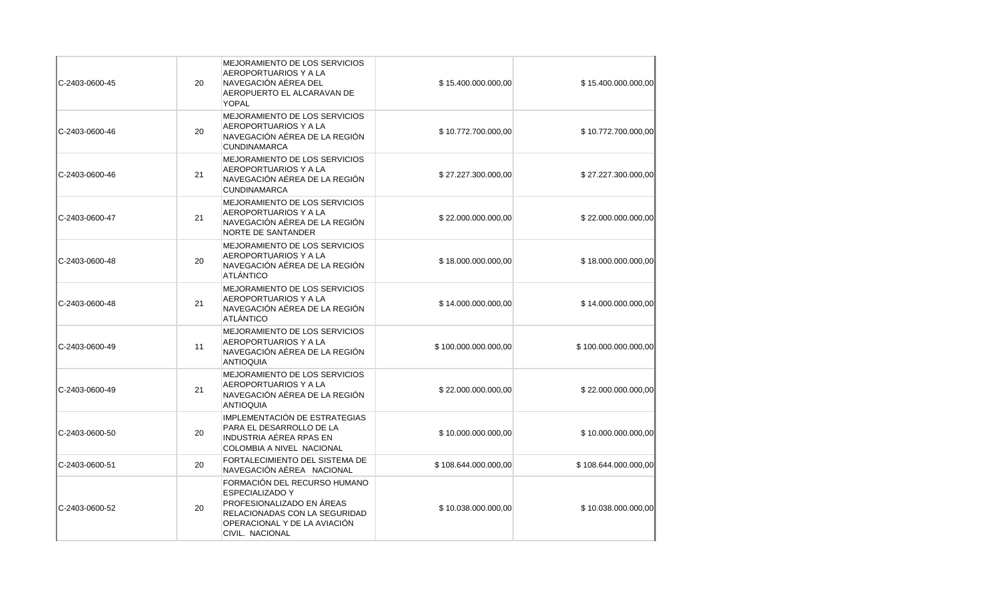| C-2403-0600-45  | 20 | <b>MEJORAMIENTO DE LOS SERVICIOS</b><br>AEROPORTUARIOS Y A LA<br>NAVEGACIÓN AÉREA DEL<br>AEROPUERTO EL ALCARAVAN DE<br><b>YOPAL</b>                                     | \$15.400.000.000,00  | \$15.400.000.000,00  |
|-----------------|----|-------------------------------------------------------------------------------------------------------------------------------------------------------------------------|----------------------|----------------------|
| IC-2403-0600-46 | 20 | <b>MEJORAMIENTO DE LOS SERVICIOS</b><br>AEROPORTUARIOS Y A LA<br>NAVEGACIÓN AÉREA DE LA REGIÓN<br><b>CUNDINAMARCA</b>                                                   | \$10.772.700.000,00  | \$10.772.700.000,00  |
| C-2403-0600-46  | 21 | MEJORAMIENTO DE LOS SERVICIOS<br>AEROPORTUARIOS Y A LA<br>NAVEGACIÓN AÉREA DE LA REGIÓN<br><b>CUNDINAMARCA</b>                                                          | \$27.227.300.000,00  | \$27.227.300.000,00  |
| C-2403-0600-47  | 21 | MEJORAMIENTO DE LOS SERVICIOS<br>AEROPORTUARIOS Y A LA<br>NAVEGACIÓN AÉREA DE LA REGIÓN<br><b>NORTE DE SANTANDER</b>                                                    | \$22.000.000.000,00  | \$22.000.000.000,00  |
| IC-2403-0600-48 | 20 | MEJORAMIENTO DE LOS SERVICIOS<br>AEROPORTUARIOS Y A LA<br>NAVEGACIÓN AÉREA DE LA REGIÓN<br>ATLÁNTICO                                                                    | \$18.000.000.000,00  | \$18.000.000.000,00  |
| IC-2403-0600-48 | 21 | <b>MEJORAMIENTO DE LOS SERVICIOS</b><br>AEROPORTUARIOS Y A LA<br>NAVEGACIÓN AÉREA DE LA REGIÓN<br><b>ATLÁNTICO</b>                                                      | \$14.000.000.000,00  | \$14.000.000.000,00  |
| C-2403-0600-49  | 11 | <b>MEJORAMIENTO DE LOS SERVICIOS</b><br>AEROPORTUARIOS Y A LA<br>NAVEGACIÓN AÉREA DE LA REGIÓN<br><b>ANTIOQUIA</b>                                                      | \$100.000.000.000,00 | \$100.000.000.000,00 |
| C-2403-0600-49  | 21 | MEJORAMIENTO DE LOS SERVICIOS<br>AEROPORTUARIOS Y A LA<br>NAVEGACIÓN AÉREA DE LA REGIÓN<br><b>ANTIOQUIA</b>                                                             | \$22.000.000.000,00  | \$22.000.000.000,00  |
| C-2403-0600-50  | 20 | IMPLEMENTACIÓN DE ESTRATEGIAS<br>PARA EL DESARROLLO DE LA<br>INDUSTRIA AÉREA RPAS EN<br>COLOMBIA A NIVEL NACIONAL                                                       | \$10.000.000.000,00  | \$10.000.000.000,00  |
| C-2403-0600-51  | 20 | FORTALECIMIENTO DEL SISTEMA DE<br>NAVEGACIÓN AÉREA NACIONAL                                                                                                             | \$108.644.000.000,00 | \$108.644.000.000,00 |
| C-2403-0600-52  | 20 | FORMACIÓN DEL RECURSO HUMANO<br><b>ESPECIALIZADO Y</b><br>PROFESIONALIZADO EN ÁREAS<br>RELACIONADAS CON LA SEGURIDAD<br>OPERACIONAL Y DE LA AVIACIÓN<br>CIVIL. NACIONAL | \$10.038.000.000,00  | \$10.038.000.000,00  |